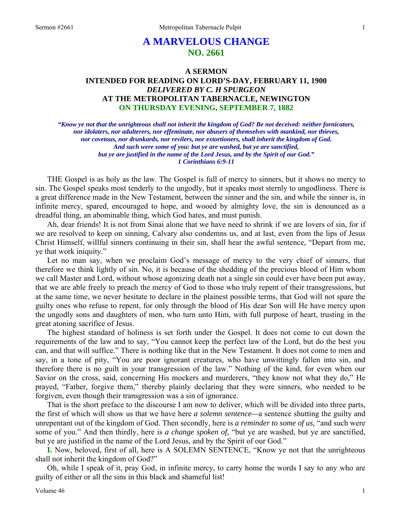# **A MARVELOUS CHANGE NO. 2661**

# **A SERMON INTENDED FOR READING ON LORD'S-DAY, FEBRUARY 11, 1900**  *DELIVERED BY C. H SPURGEON*  **AT THE METROPOLITAN TABERNACLE, NEWINGTON ON THURSDAY EVENING, SEPTEMBER 7, 1882**

*"Know ye not that the unrighteous shall not inherit the kingdom of God? Be not deceived: neither fornicators, nor idolaters, nor adulterers, nor effeminate, nor abusers of themselves with mankind, nor thieves, nor covetous, nor drunkards, nor revilers, nor extortioners, shall inherit the kingdom of God. And such were some of you: but ye are washed, but ye are sanctified, but ye are justified in the name of the Lord Jesus, and by the Spirit of our God." 1 Corinthians 6:9-11* 

THE Gospel is as holy as the law. The Gospel is full of mercy to sinners, but it shows no mercy to sin. The Gospel speaks most tenderly to the ungodly, but it speaks most sternly to ungodliness. There is a great difference made in the New Testament, between the sinner and the sin, and while the sinner is, in infinite mercy, spared, encouraged to hope, and wooed by almighty love, the sin is denounced as a dreadful thing, an abominable thing, which God hates, and must punish.

Ah, dear friends! It is not from Sinai alone that we have need to shrink if we are lovers of sin, for if we are resolved to keep on sinning, Calvary also condemns us, and at last, even from the lips of Jesus Christ Himself, willful sinners continuing in their sin, shall hear the awful sentence, "Depart from me, ye that work iniquity."

Let no man say, when we proclaim God's message of mercy to the very chief of sinners, that therefore we think lightly of sin. No, it is because of the shedding of the precious blood of Him whom we call Master and Lord, without whose agonizing death not a single sin could ever have been put away, that we are able freely to preach the mercy of God to those who truly repent of their transgressions, but at the same time, we never hesitate to declare in the plainest possible terms, that God will not spare the guilty ones who refuse to repent, for only through the blood of His dear Son will He have mercy upon the ungodly sons and daughters of men, who turn unto Him, with full purpose of heart, trusting in the great atoning sacrifice of Jesus.

The highest standard of holiness is set forth under the Gospel. It does not come to cut down the requirements of the law and to say, "You cannot keep the perfect law of the Lord, but do the best you can, and that will suffice." There is nothing like that in the New Testament. It does not come to men and say, in a tone of pity, "You are poor ignorant creatures, who have unwittingly fallen into sin, and therefore there is no guilt in your transgression of the law." Nothing of the kind, for even when our Savior on the cross, said, concerning His mockers and murderers, "they know not what they do," He prayed, "Father, forgive them," thereby plainly declaring that they were sinners, who needed to be forgiven, even though their transgression was a sin of ignorance.

That is the short preface to the discourse I am now to deliver, which will be divided into three parts, the first of which will show us that we have here *a solemn sentence—*a sentence shutting the guilty and unrepentant out of the kingdom of God. Then secondly, here is *a reminder to some of us,* "and such were some of you." And then thirdly, here is *a change spoken of,* "but ye are washed, but ye are sanctified, but ye are justified in the name of the Lord Jesus, and by the Spirit of our God."

**I.** Now, beloved, first of all, here is A SOLEMN SENTENCE, "Know ye not that the unrighteous shall not inherit the kingdom of God?"

Oh, while I speak of it, pray God, in infinite mercy, to carry home the words I say to any who are guilty of either or all the sins in this black and shameful list!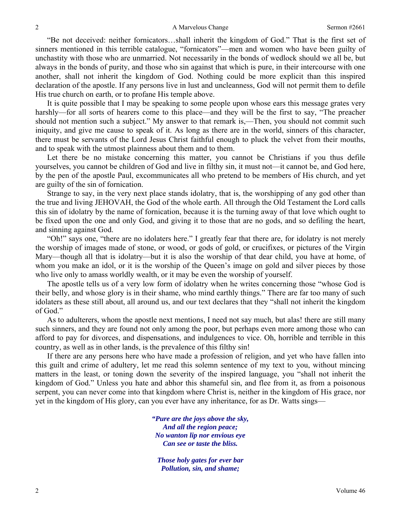"Be not deceived: neither fornicators…shall inherit the kingdom of God." That is the first set of sinners mentioned in this terrible catalogue, "fornicators"—men and women who have been guilty of unchastity with those who are unmarried. Not necessarily in the bonds of wedlock should we all be, but always in the bonds of purity, and those who sin against that which is pure, in their intercourse with one another, shall not inherit the kingdom of God. Nothing could be more explicit than this inspired declaration of the apostle. If any persons live in lust and uncleanness, God will not permit them to defile His true church on earth, or to profane His temple above.

It is quite possible that I may be speaking to some people upon whose ears this message grates very harshly—for all sorts of hearers come to this place—and they will be the first to say, "The preacher should not mention such a subject." My answer to that remark is,—Then, you should not commit such iniquity, and give me cause to speak of it. As long as there are in the world, sinners of this character, there must be servants of the Lord Jesus Christ faithful enough to pluck the velvet from their mouths, and to speak with the utmost plainness about them and to them.

Let there be no mistake concerning this matter, you cannot be Christians if you thus defile yourselves, you cannot be children of God and live in filthy sin, it must not—it cannot be, and God here, by the pen of the apostle Paul, excommunicates all who pretend to be members of His church, and yet are guilty of the sin of fornication.

Strange to say, in the very next place stands idolatry, that is, the worshipping of any god other than the true and living JEHOVAH, the God of the whole earth. All through the Old Testament the Lord calls this sin of idolatry by the name of fornication, because it is the turning away of that love which ought to be fixed upon the one and only God, and giving it to those that are no gods, and so defiling the heart, and sinning against God.

"Oh!" says one, "there are no idolaters here." I greatly fear that there are, for idolatry is not merely the worship of images made of stone, or wood, or gods of gold, or crucifixes, or pictures of the Virgin Mary—though all that is idolatry—but it is also the worship of that dear child, you have at home, of whom you make an idol, or it is the worship of the Queen's image on gold and silver pieces by those who live only to amass worldly wealth, or it may be even the worship of yourself.

The apostle tells us of a very low form of idolatry when he writes concerning those "whose God is their belly, and whose glory is in their shame, who mind earthly things." There are far too many of such idolaters as these still about, all around us, and our text declares that they "shall not inherit the kingdom of God."

As to adulterers, whom the apostle next mentions, I need not say much, but alas! there are still many such sinners, and they are found not only among the poor, but perhaps even more among those who can afford to pay for divorces, and dispensations, and indulgences to vice. Oh, horrible and terrible in this country, as well as in other lands, is the prevalence of this filthy sin!

If there are any persons here who have made a profession of religion, and yet who have fallen into this guilt and crime of adultery, let me read this solemn sentence of my text to you, without mincing matters in the least, or toning down the severity of the inspired language, you "shall not inherit the kingdom of God." Unless you hate and abhor this shameful sin, and flee from it, as from a poisonous serpent, you can never come into that kingdom where Christ is, neither in the kingdom of His grace, nor yet in the kingdom of His glory, can you ever have any inheritance, for as Dr. Watts sings—

> *"Pure are the joys above the sky, And all the region peace; No wanton lip nor envious eye Can see or taste the bliss.*

*Those holy gates for ever bar Pollution, sin, and shame;*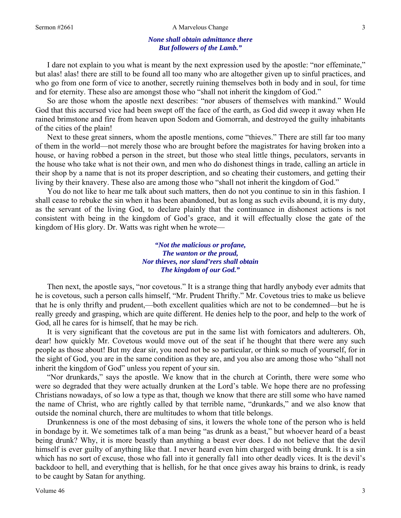#### Sermon #2661 **A Marvelous Change** 3

#### *None shall obtain admittance there But followers of the Lamb."*

I dare not explain to you what is meant by the next expression used by the apostle: "nor effeminate," but alas! alas! there are still to be found all too many who are altogether given up to sinful practices, and who go from one form of vice to another, secretly ruining themselves both in body and in soul, for time and for eternity. These also are amongst those who "shall not inherit the kingdom of God."

So are those whom the apostle next describes: "nor abusers of themselves with mankind." Would God that this accursed vice had been swept off the face of the earth, as God did sweep it away when He rained brimstone and fire from heaven upon Sodom and Gomorrah, and destroyed the guilty inhabitants of the cities of the plain!

Next to these great sinners, whom the apostle mentions, come "thieves." There are still far too many of them in the world—not merely those who are brought before the magistrates for having broken into a house, or having robbed a person in the street, but those who steal little things, peculators, servants in the house who take what is not their own, and men who do dishonest things in trade, calling an article in their shop by a name that is not its proper description, and so cheating their customers, and getting their living by their knavery. These also are among those who "shall not inherit the kingdom of God."

You do not like to hear me talk about such matters, then do not you continue to sin in this fashion. I shall cease to rebuke the sin when it has been abandoned, but as long as such evils abound, it is my duty, as the servant of the living God, to declare plainly that the continuance in dishonest actions is not consistent with being in the kingdom of God's grace, and it will effectually close the gate of the kingdom of His glory. Dr. Watts was right when he wrote—

> *"Not the malicious or profane, The wanton or the proud, Nor thieves, nor sland'rers shall obtain The kingdom of our God."*

Then next, the apostle says, "nor covetous." It is a strange thing that hardly anybody ever admits that he is covetous, such a person calls himself, "Mr. Prudent Thrifty." Mr. Covetous tries to make us believe that he is only thrifty and prudent,—both excellent qualities which are not to be condemned—but he is really greedy and grasping, which are quite different. He denies help to the poor, and help to the work of God, all he cares for is himself, that he may be rich.

It is very significant that the covetous are put in the same list with fornicators and adulterers. Oh, dear! how quickly Mr. Covetous would move out of the seat if he thought that there were any such people as those about! But my dear sir, you need not be so particular, or think so much of yourself, for in the sight of God, you are in the same condition as they are, and you also are among those who "shall not inherit the kingdom of God" unless you repent of your sin.

"Nor drunkards," says the apostle. We know that in the church at Corinth, there were some who were so degraded that they were actually drunken at the Lord's table. We hope there are no professing Christians nowadays, of so low a type as that, though we know that there are still some who have named the name of Christ, who are rightly called by that terrible name, "drunkards," and we also know that outside the nominal church, there are multitudes to whom that title belongs.

Drunkenness is one of the most debasing of sins, it lowers the whole tone of the person who is held in bondage by it. We sometimes talk of a man being "as drunk as a beast," but whoever heard of a beast being drunk? Why, it is more beastly than anything a beast ever does. I do not believe that the devil himself is ever guilty of anything like that. I never heard even him charged with being drunk. It is a sin which has no sort of excuse, those who fall into it generally fal1 into other deadly vices. It is the devil's backdoor to hell, and everything that is hellish, for he that once gives away his brains to drink, is ready to be caught by Satan for anything.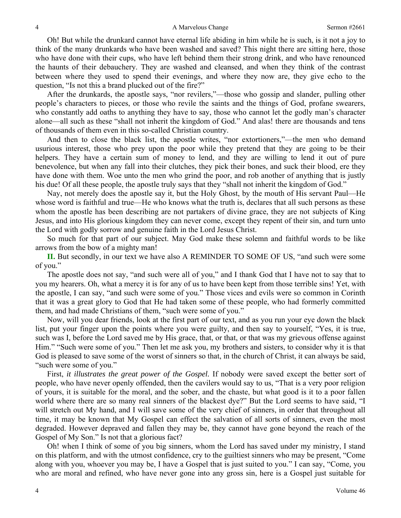Oh! But while the drunkard cannot have eternal life abiding in him while he is such, is it not a joy to think of the many drunkards who have been washed and saved? This night there are sitting here, those who have done with their cups, who have left behind them their strong drink, and who have renounced the haunts of their debauchery. They are washed and cleansed, and when they think of the contrast between where they used to spend their evenings, and where they now are, they give echo to the question, "Is not this a brand plucked out of the fire?"

After the drunkards, the apostle says, "nor revilers,"—those who gossip and slander, pulling other people's characters to pieces, or those who revile the saints and the things of God, profane swearers, who constantly add oaths to anything they have to say, those who cannot let the godly man's character alone—all such as these "shall not inherit the kingdom of God." And alas! there are thousands and tens of thousands of them even in this so-called Christian country.

And then to close the black list, the apostle writes, "nor extortioners,"—the men who demand usurious interest, those who prey upon the poor while they pretend that they are going to be their helpers. They have a certain sum of money to lend, and they are willing to lend it out of pure benevolence, but when any fall into their clutches, they pick their bones, and suck their blood, ere they have done with them. Woe unto the men who grind the poor, and rob another of anything that is justly his due! Of all these people, the apostle truly says that they "shall not inherit the kingdom of God."

Nay, not merely does the apostle say it, but the Holy Ghost, by the mouth of His servant Paul—He whose word is faithful and true—He who knows what the truth is, declares that all such persons as these whom the apostle has been describing are not partakers of divine grace, they are not subjects of King Jesus, and into His glorious kingdom they can never come, except they repent of their sin, and turn unto the Lord with godly sorrow and genuine faith in the Lord Jesus Christ.

So much for that part of our subject. May God make these solemn and faithful words to be like arrows from the bow of a mighty man!

**II.** But secondly, in our text we have also A REMINDER TO SOME OF US, "and such were some of you."

The apostle does not say, "and such were all of you," and I thank God that I have not to say that to you my hearers. Oh, what a mercy it is for any of us to have been kept from those terrible sins! Yet, with the apostle, I can say, "and such were some of you." Those vices and evils were so common in Corinth that it was a great glory to God that He had taken some of these people, who had formerly committed them, and had made Christians of them, "such were some of you."

Now, will you dear friends, look at the first part of our text, and as you run your eye down the black list, put your finger upon the points where you were guilty, and then say to yourself, "Yes, it is true, such was I, before the Lord saved me by His grace, that, or that, or that was my grievous offense against Him." "Such were some of you." Then let me ask you, my brothers and sisters, to consider why it is that God is pleased to save some of the worst of sinners so that, in the church of Christ, it can always be said, "such were some of you."

First, *it illustrates the great power of the Gospel.* If nobody were saved except the better sort of people, who have never openly offended, then the cavilers would say to us, "That is a very poor religion of yours, it is suitable for the moral, and the sober, and the chaste, but what good is it to a poor fallen world where there are so many real sinners of the blackest dye?" But the Lord seems to have said, "I will stretch out My hand, and I will save some of the very chief of sinners, in order that throughout all time, it may be known that My Gospel can effect the salvation of all sorts of sinners, even the most degraded. However depraved and fallen they may be, they cannot have gone beyond the reach of the Gospel of My Son." Is not that a glorious fact?

Oh! when I think of some of you big sinners, whom the Lord has saved under my ministry, I stand on this platform, and with the utmost confidence, cry to the guiltiest sinners who may be present, "Come along with you, whoever you may be, I have a Gospel that is just suited to you." I can say, "Come*,* you who are moral and refined, who have never gone into any gross sin, here is a Gospel just suitable for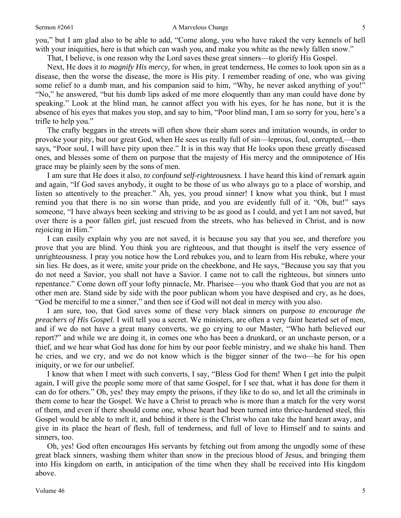you," but I am glad also to be able to add, "Come along, you who have raked the very kennels of hell with your iniquities, here is that which can wash you, and make you white as the newly fallen snow."

That, I believe, is one reason why the Lord saves these great sinners—to glorify His Gospel.

Next, He does it *to magnify His mercy,* for when, in great tenderness, He comes to look upon sin as a disease, then the worse the disease, the more is His pity. I remember reading of one, who was giving some relief to a dumb man, and his companion said to him, "Why, he never asked anything of you!" "No," he answered, "but his dumb lips asked of me more eloquently than any man could have done by speaking." Look at the blind man, he cannot affect you with his eyes, for he has none, but it is the absence of his eyes that makes you stop, and say to him, "Poor blind man, I am so sorry for you, here's a trifle to help you."

The crafty beggars in the streets will often show their sham sores and imitation wounds, in order to provoke your pity, but our great God, when He sees us really full of sin—leprous, foul, corrupted,—then says, "Poor soul, I will have pity upon thee." It is in this way that He looks upon these greatly diseased ones, and blesses some of them on purpose that the majesty of His mercy and the omnipotence of His grace may be plainly seen by the sons of men.

I am sure that He does it also, *to confound self-righteousness.* I have heard this kind of remark again and again, "If God saves anybody, it ought to be those of us who always go to a place of worship, and listen so attentively to the preacher." Ah, yes, you proud sinner! I know what you think, but I must remind you that there is no sin worse than pride, and you are evidently full of it. "Oh, but!" says someone, "I have always been seeking and striving to be as good as I could, and yet I am not saved, but over there is a poor fallen girl, just rescued from the streets, who has believed in Christ, and is now rejoicing in Him."

I can easily explain why you are not saved, it is because you say that you see, and therefore you prove that you are blind. You think you are righteous, and that thought is itself the very essence of unrighteousness. I pray you notice how the Lord rebukes you, and to learn from His rebuke, where your sin lies. He does, as it were, smite your pride on the cheekbone, and He says, "Because you say that you do not need a Savior, you shall not have a Savior. I came not to call the righteous, but sinners unto repentance." Come down off your lofty pinnacle, Mr. Pharisee—you who thank God that you are not as other men are. Stand side by side with the poor publican whom you have despised and cry, as he does, "God be merciful to me a sinner," and then see if God will not deal in mercy with you also.

I am sure, too, that God saves some of these very black sinners on purpose *to encourage the preachers of His Gospel.* I will tell you a secret. We ministers, are often a very faint hearted set of men, and if we do not have a great many converts, we go crying to our Master, "Who hath believed our report?" and while we are doing it, in comes one who has been a drunkard, or an unchaste person, or a thief, and we hear what God has done for him by our poor feeble ministry, and we shake his hand. Then he cries, and we cry, and we do not know which is the bigger sinner of the two—he for his open iniquity, or we for our unbelief.

I know that when I meet with such converts, I say, "Bless God for them! When I get into the pulpit again, I will give the people some more of that same Gospel, for I see that, what it has done for them it can do for others." Oh, yes! they may empty the prisons, if they like to do so, and let all the criminals in them come to hear the Gospel. We have a Christ to preach who is more than a match for the very worst of them, and even if there should come one, whose heart had been turned into thrice-hardened steel, this Gospel would be able to melt it, and behind it there is the Christ who can take the hard heart away, and give in its place the heart of flesh, full of tenderness, and full of love to Himself and to saints and sinners, too.

Oh, yes! God often encourages His servants by fetching out from among the ungodly some of these great black sinners, washing them whiter than snow in the precious blood of Jesus, and bringing them into His kingdom on earth, in anticipation of the time when they shall be received into His kingdom above.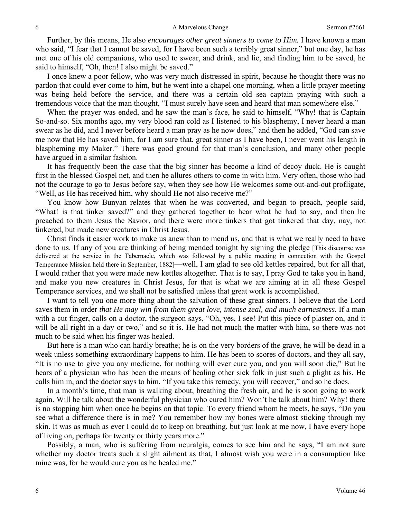Further, by this means, He also *encourages other great sinners to come to Him.* I have known a man who said, "I fear that I cannot be saved, for I have been such a terribly great sinner," but one day, he has met one of his old companions, who used to swear, and drink, and lie, and finding him to be saved, he said to himself, "Oh, then! I also might be saved."

I once knew a poor fellow, who was very much distressed in spirit, because he thought there was no pardon that could ever come to him, but he went into a chapel one morning, when a little prayer meeting was being held before the service, and there was a certain old sea captain praying with such a tremendous voice that the man thought, "I must surely have seen and heard that man somewhere else."

When the prayer was ended, and he saw the man's face, he said to himself, "Why! that is Captain So-and-so. Six months ago, my very blood ran cold as I listened to his blasphemy, I never heard a man swear as he did, and I never before heard a man pray as he now does," and then he added, "God can save me now that He has saved him, for I am sure that, great sinner as I have been, I never went his length in blaspheming my Maker." There was good ground for that man's conclusion, and many other people have argued in a similar fashion.

It has frequently been the case that the big sinner has become a kind of decoy duck. He is caught first in the blessed Gospel net, and then he allures others to come in with him. Very often, those who had not the courage to go to Jesus before say, when they see how He welcomes some out-and-out profligate, "Well, as He has received him, why should He not also receive me?"

You know how Bunyan relates that when he was converted, and began to preach, people said, "What! is that tinker saved?" and they gathered together to hear what he had to say, and then he preached to them Jesus the Savior, and there were more tinkers that got tinkered that day, nay, not tinkered, but made new creatures in Christ Jesus.

Christ finds it easier work to make us anew than to mend us, and that is what we really need to have done to us. If any of you are thinking of being mended tonight by signing the pledge [This discourse was delivered at the service in the Tabernacle, which was followed by a public meeting in connection with the Gospel Temperance Mission held there in September, 1882]—well, I am glad to see old kettles repaired, but for all that, I would rather that you were made new kettles altogether. That is to say, I pray God to take you in hand, and make you new creatures in Christ Jesus, for that is what we are aiming at in all these Gospel Temperance services, and we shall not be satisfied unless that great work is accomplished.

I want to tell you one more thing about the salvation of these great sinners. I believe that the Lord saves them in order *that He may win from them great love, intense zeal, and much earnestness*. If a man with a cut finger, calls on a doctor, the surgeon says, "Oh, yes, I see! Put this piece of plaster on, and it will be all right in a day or two," and so it is. He had not much the matter with him, so there was not much to be said when his finger was healed.

But here is a man who can hardly breathe; he is on the very borders of the grave, he will be dead in a week unless something extraordinary happens to him. He has been to scores of doctors, and they all say, "It is no use to give you any medicine, for nothing will ever cure you, and you will soon die," But he hears of a physician who has been the means of healing other sick folk in just such a plight as his. He calls him in, and the doctor says to him, "If you take this remedy, you will recover," and so he does.

In a month's time, that man is walking about, breathing the fresh air, and he is soon going to work again. Will he talk about the wonderful physician who cured him? Won't he talk about him? Why! there is no stopping him when once he begins on that topic. To every friend whom he meets, he says, "Do you see what a difference there is in me? You remember how my bones were almost sticking through my skin. It was as much as ever I could do to keep on breathing, but just look at me now, I have every hope of living on, perhaps for twenty or thirty years more."

Possibly, a man, who is suffering from neuralgia, comes to see him and he says, "I am not sure whether my doctor treats such a slight ailment as that, I almost wish you were in a consumption like mine was, for he would cure you as he healed me."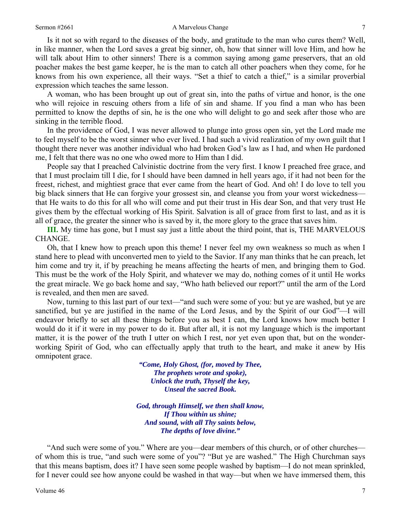Is it not so with regard to the diseases of the body, and gratitude to the man who cures them? Well, in like manner, when the Lord saves a great big sinner, oh, how that sinner will love Him, and how he will talk about Him to other sinners! There is a common saying among game preservers, that an old poacher makes the best game keeper, he is the man to catch all other poachers when they come, for he knows from his own experience, all their ways. "Set a thief to catch a thief," is a similar proverbial expression which teaches the same lesson.

A woman, who has been brought up out of great sin, into the paths of virtue and honor, is the one who will rejoice in rescuing others from a life of sin and shame. If you find a man who has been permitted to know the depths of sin, he is the one who will delight to go and seek after those who are sinking in the terrible flood.

In the providence of God, I was never allowed to plunge into gross open sin, yet the Lord made me to feel myself to be the worst sinner who ever lived. I had such a vivid realization of my own guilt that I thought there never was another individual who had broken God's law as I had, and when He pardoned me, I felt that there was no one who owed more to Him than I did.

People say that I preached Calvinistic doctrine from the very first. I know I preached free grace, and that I must proclaim till I die, for I should have been damned in hell years ago, if it had not been for the freest, richest, and mightiest grace that ever came from the heart of God. And oh! I do love to tell you big black sinners that He can forgive your grossest sin, and cleanse you from your worst wickedness that He waits to do this for all who will come and put their trust in His dear Son, and that very trust He gives them by the effectual working of His Spirit. Salvation is all of grace from first to last, and as it is all of grace, the greater the sinner who is saved by it, the more glory to the grace that saves him.

**III.** My time has gone, but I must say just a little about the third point, that is, THE MARVELOUS CHANGE.

Oh, that I knew how to preach upon this theme! I never feel my own weakness so much as when I stand here to plead with unconverted men to yield to the Savior. If any man thinks that he can preach, let him come and try it, if by preaching he means affecting the hearts of men, and bringing them to God. This must be the work of the Holy Spirit, and whatever we may do, nothing comes of it until He works the great miracle. We go back home and say, "Who hath believed our report?" until the arm of the Lord is revealed, and then men are saved.

Now, turning to this last part of our text—"and such were some of you: but ye are washed, but ye are sanctified, but ye are justified in the name of the Lord Jesus, and by the Spirit of our God"—I will endeavor briefly to set all these things before you as best I can, the Lord knows how much better I would do it if it were in my power to do it. But after all, it is not my language which is the important matter, it is the power of the truth I utter on which I rest, nor yet even upon that, but on the wonderworking Spirit of God, who can effectually apply that truth to the heart, and make it anew by His omnipotent grace.

> *"Come, Holy Ghost, (for, moved by Thee, The prophets wrote and spoke), Unlock the truth, Thyself the key, Unseal the sacred Book.*

*God, through Himself, we then shall know, If Thou within us shine; And sound, with all Thy saints below, The depths of love divine."* 

"And such were some of you." Where are you—dear members of this church, or of other churches of whom this is true, "and such were some of you"? "But ye are washed." The High Churchman says that this means baptism, does it? I have seen some people washed by baptism—I do not mean sprinkled, for I never could see how anyone could be washed in that way—but when we have immersed them, this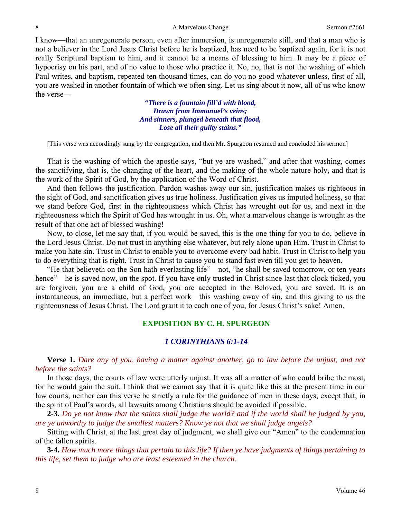I know—that an unregenerate person, even after immersion, is unregenerate still, and that a man who is not a believer in the Lord Jesus Christ before he is baptized, has need to be baptized again, for it is not really Scriptural baptism to him, and it cannot be a means of blessing to him. It may be a piece of hypocrisy on his part, and of no value to those who practice it. No, no, that is not the washing of which Paul writes, and baptism, repeated ten thousand times, can do you no good whatever unless, first of all, you are washed in another fountain of which we often sing. Let us sing about it now, all of us who know the verse—

> *"There is a fountain fill'd with blood, Drawn from Immanuel's veins; And sinners, plunged beneath that flood, Lose all their guilty stains."*

[This verse was accordingly sung by the congregation, and then Mr. Spurgeon resumed and concluded his sermon]

That is the washing of which the apostle says, "but ye are washed," and after that washing, comes the sanctifying, that is, the changing of the heart, and the making of the whole nature holy, and that is the work of the Spirit of God, by the application of the Word of Christ.

And then follows the justification. Pardon washes away our sin, justification makes us righteous in the sight of God, and sanctification gives us true holiness. Justification gives us imputed holiness, so that we stand before God, first in the righteousness which Christ has wrought out for us, and next in the righteousness which the Spirit of God has wrought in us. Oh, what a marvelous change is wrought as the result of that one act of blessed washing!

Now, to close, let me say that, if you would be saved, this is the one thing for you to do, believe in the Lord Jesus Christ. Do not trust in anything else whatever, but rely alone upon Him. Trust in Christ to make you hate sin. Trust in Christ to enable you to overcome every bad habit. Trust in Christ to help you to do everything that is right. Trust in Christ to cause you to stand fast even till you get to heaven.

"He that believeth on the Son hath everlasting life"—not, "he shall be saved tomorrow, or ten years hence"—he is saved now, on the spot. If you have only trusted in Christ since last that clock ticked, you are forgiven, you are a child of God, you are accepted in the Beloved, you are saved. It is an instantaneous, an immediate, but a perfect work—this washing away of sin, and this giving to us the righteousness of Jesus Christ. The Lord grant it to each one of you, for Jesus Christ's sake! Amen.

# **EXPOSITION BY C. H. SPURGEON**

# *1 CORINTHIANS 6:1-14*

**Verse 1.** *Dare any of you, having a matter against another, go to law before the unjust, and not before the saints?* 

In those days, the courts of law were utterly unjust. It was all a matter of who could bribe the most, for he would gain the suit. I think that we cannot say that it is quite like this at the present time in our law courts, neither can this verse be strictly a rule for the guidance of men in these days, except that, in the spirit of Paul's words, all lawsuits among Christians should be avoided if possible.

**2-3.** *Do ye not know that the saints shall judge the world? and if the world shall be judged by you, are ye unworthy to judge the smallest matters? Know ye not that we shall judge angels?* 

Sitting with Christ, at the last great day of judgment, we shall give our "Amen" to the condemnation of the fallen spirits.

**3-4.** *How much more things that pertain to this life? If then ye have judgments of things pertaining to this life, set them to judge who are least esteemed in the church.*